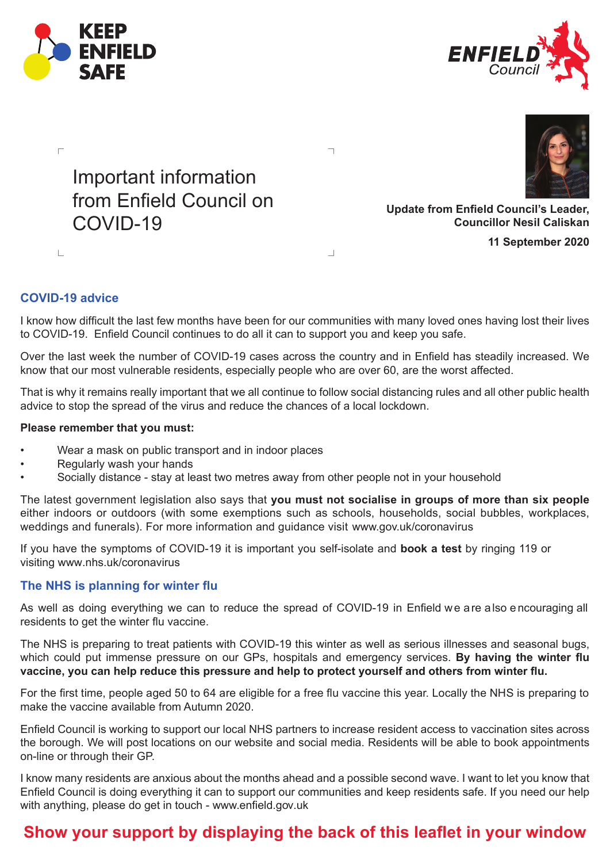







**11 September 2020**

## **COVID-19 advice**

 $\mathbb{R}^2$ 

I know how difficult the last few months have been for our communities with many loved ones having lost their lives to COVID-19. Enfield Council continues to do all it can to support you and keep you safe.

 $\overline{\phantom{0}}$ 

 $\overline{\phantom{a}}$ 

Over the last week the number of COVID-19 cases across the country and in Enfield has steadily increased. We know that our most vulnerable residents, especially people who are over 60, are the worst affected.

That is why it remains really important that we all continue to follow social distancing rules and all other public health advice to stop the spread of the virus and reduce the chances of a local lockdown.

## **Please remember that you must:**

- Wear a mask on public transport and in indoor places
- Regularly wash your hands
- Socially distance stay at least two metres away from other people not in your household

The latest government legislation also says that **you must not socialise in groups of more than six people** either indoors or outdoors (with some exemptions such as schools, households, social bubbles, workplaces, weddings and funerals). For more information and guidance visit www.gov.uk/coronavirus

If you have the symptoms of COVID-19 it is important you self-isolate and **book a test** by ringing 119 or visiting www.nhs.uk/coronavirus

## **The NHS is planning for winter flu**

As well as doing everything we can to reduce the spread of COVID-19 in Enfield we a re a lso e ncouraging all residents to get the winter flu vaccine.

The NHS is preparing to treat patients with COVID-19 this winter as well as serious illnesses and seasonal bugs, which could put immense pressure on our GPs, hospitals and emergency services. **By having the winter flu vaccine, you can help reduce this pressure and help to protect yourself and others from winter flu.** 

For the first time, people aged 50 to 64 are eligible for a free flu vaccine this year. Locally the NHS is preparing to make the vaccine available from Autumn 2020.

Enfield Council is working to support our local NHS partners to increase resident access to vaccination sites across the borough. We will post locations on our website and social media. Residents will be able to book appointments on-line or through their GP.

I know many residents are anxious about the months ahead and a possible second wave. I want to let you know that Enfield Council is doing everything it can to support our communities and keep residents safe. If you need our help with anything, please do get in touch - www.enfield.gov.uk

## **Show your support by displaying the back of this leaflet in your window**